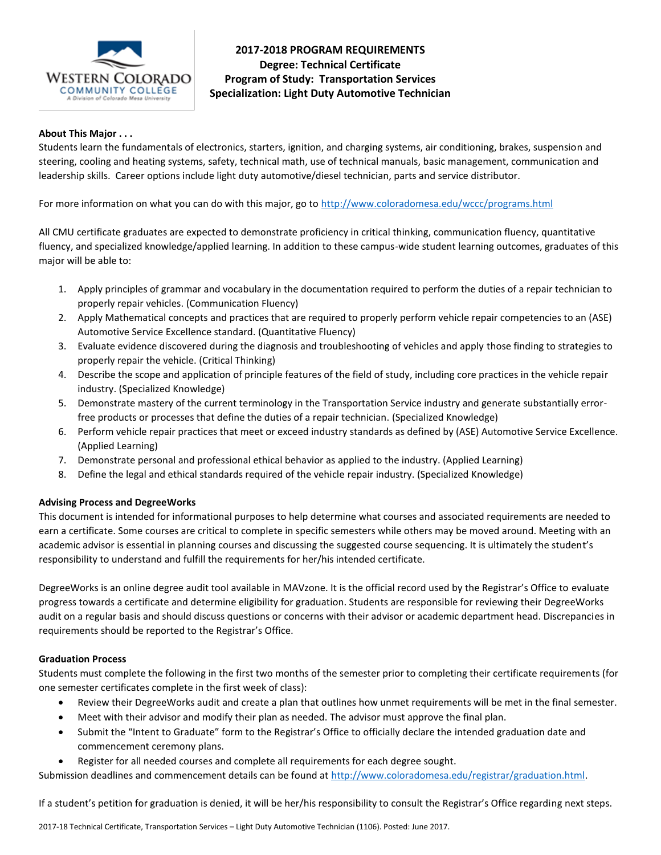

# **2017-2018 PROGRAM REQUIREMENTS Degree: Technical Certificate Program of Study: Transportation Services Specialization: Light Duty Automotive Technician**

#### **About This Major . . .**

Students learn the fundamentals of electronics, starters, ignition, and charging systems, air conditioning, brakes, suspension and steering, cooling and heating systems, safety, technical math, use of technical manuals, basic management, communication and leadership skills. Career options include light duty automotive/diesel technician, parts and service distributor.

For more information on what you can do with this major, go to<http://www.coloradomesa.edu/wccc/programs.html>

All CMU certificate graduates are expected to demonstrate proficiency in critical thinking, communication fluency, quantitative fluency, and specialized knowledge/applied learning. In addition to these campus-wide student learning outcomes, graduates of this major will be able to:

- 1. Apply principles of grammar and vocabulary in the documentation required to perform the duties of a repair technician to properly repair vehicles. (Communication Fluency)
- 2. Apply Mathematical concepts and practices that are required to properly perform vehicle repair competencies to an (ASE) Automotive Service Excellence standard. (Quantitative Fluency)
- 3. Evaluate evidence discovered during the diagnosis and troubleshooting of vehicles and apply those finding to strategies to properly repair the vehicle. (Critical Thinking)
- 4. Describe the scope and application of principle features of the field of study, including core practices in the vehicle repair industry. (Specialized Knowledge)
- 5. Demonstrate mastery of the current terminology in the Transportation Service industry and generate substantially errorfree products or processes that define the duties of a repair technician. (Specialized Knowledge)
- 6. Perform vehicle repair practices that meet or exceed industry standards as defined by (ASE) Automotive Service Excellence. (Applied Learning)
- 7. Demonstrate personal and professional ethical behavior as applied to the industry. (Applied Learning)
- 8. Define the legal and ethical standards required of the vehicle repair industry. (Specialized Knowledge)

### **Advising Process and DegreeWorks**

This document is intended for informational purposes to help determine what courses and associated requirements are needed to earn a certificate. Some courses are critical to complete in specific semesters while others may be moved around. Meeting with an academic advisor is essential in planning courses and discussing the suggested course sequencing. It is ultimately the student's responsibility to understand and fulfill the requirements for her/his intended certificate.

DegreeWorks is an online degree audit tool available in MAVzone. It is the official record used by the Registrar's Office to evaluate progress towards a certificate and determine eligibility for graduation. Students are responsible for reviewing their DegreeWorks audit on a regular basis and should discuss questions or concerns with their advisor or academic department head. Discrepancies in requirements should be reported to the Registrar's Office.

### **Graduation Process**

Students must complete the following in the first two months of the semester prior to completing their certificate requirements (for one semester certificates complete in the first week of class):

- Review their DegreeWorks audit and create a plan that outlines how unmet requirements will be met in the final semester.
- Meet with their advisor and modify their plan as needed. The advisor must approve the final plan.
- Submit the "Intent to Graduate" form to the Registrar's Office to officially declare the intended graduation date and commencement ceremony plans.
- Register for all needed courses and complete all requirements for each degree sought.

Submission deadlines and commencement details can be found at [http://www.coloradomesa.edu/registrar/graduation.html.](http://www.coloradomesa.edu/registrar/graduation.html)

If a student's petition for graduation is denied, it will be her/his responsibility to consult the Registrar's Office regarding next steps.

2017-18 Technical Certificate, Transportation Services – Light Duty Automotive Technician (1106). Posted: June 2017.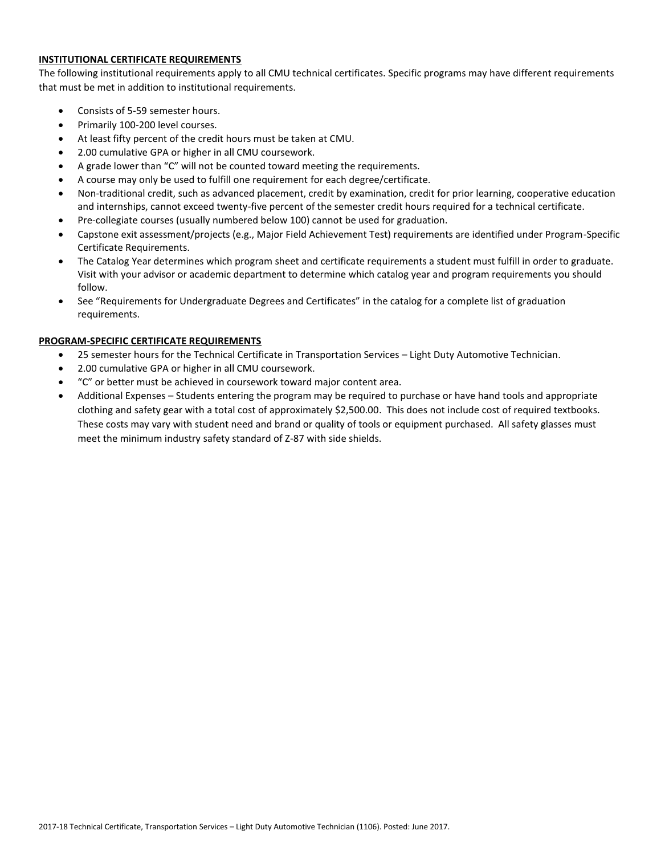## **INSTITUTIONAL CERTIFICATE REQUIREMENTS**

The following institutional requirements apply to all CMU technical certificates. Specific programs may have different requirements that must be met in addition to institutional requirements.

- Consists of 5-59 semester hours.
- Primarily 100-200 level courses.
- At least fifty percent of the credit hours must be taken at CMU.
- 2.00 cumulative GPA or higher in all CMU coursework.
- A grade lower than "C" will not be counted toward meeting the requirements.
- A course may only be used to fulfill one requirement for each degree/certificate.
- Non-traditional credit, such as advanced placement, credit by examination, credit for prior learning, cooperative education and internships, cannot exceed twenty-five percent of the semester credit hours required for a technical certificate.
- Pre-collegiate courses (usually numbered below 100) cannot be used for graduation.
- Capstone exit assessment/projects (e.g., Major Field Achievement Test) requirements are identified under Program-Specific Certificate Requirements.
- The Catalog Year determines which program sheet and certificate requirements a student must fulfill in order to graduate. Visit with your advisor or academic department to determine which catalog year and program requirements you should follow.
- See "Requirements for Undergraduate Degrees and Certificates" in the catalog for a complete list of graduation requirements.

### **PROGRAM-SPECIFIC CERTIFICATE REQUIREMENTS**

- 25 semester hours for the Technical Certificate in Transportation Services Light Duty Automotive Technician.
- 2.00 cumulative GPA or higher in all CMU coursework.
- "C" or better must be achieved in coursework toward major content area.
- Additional Expenses Students entering the program may be required to purchase or have hand tools and appropriate clothing and safety gear with a total cost of approximately \$2,500.00. This does not include cost of required textbooks. These costs may vary with student need and brand or quality of tools or equipment purchased. All safety glasses must meet the minimum industry safety standard of Z-87 with side shields.